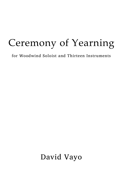# Ceremony of Yearning

for Woodwind Soloist and Thirteen Instruments

## David Vayo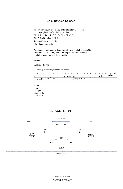#### **INSTRUMENTATION**

Solo woodwind, in descending order of preference: soprano saxophone, B-flat clarinet, or oboe Dizi 1: Bang Di in E, F, G; Qu Di in Bb, C, D Dizi 2: Qu Di in Bb, C, D, E Soprano Sheng (chromatic) Alto Sheng (chromatic)

Percussion 1: Vibraphone, Pengling, Chinese cymbal, Huapen Gu Percussion 2: Aluphone, Medium triangle, Medium suspended cymbal, afuche, Ban Gu, Tang Gu, Shi Gu

> EH CB GH VC

Yangqin

Guzheng (21-string)

Initial guzheng tunings (and tuning changes):



Gaohu Erhu Zhonghu Violoncello Contrabass

#### **STAGE SET-UP**



COND.

*(edge of stage)*

WOODWIND SOLOIST

(back center of hall)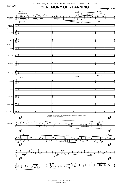







*for Chih-Sheng Chen and the Little Giant Chinese Chamber Orchestra* 

### **CEREMONY OF YEARNING David Vayo (2015)**

Copyright © 2015 David Vayo/Growth Medium Music All Rights Reserved

Score in C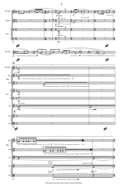





3-4"

\* Re-attack notes from time to time; leisurely, unhurried.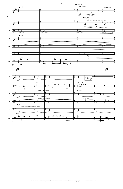

\* Improvise freely on given pitches, in any order. Free rhythms, averaging two to three notes per beat.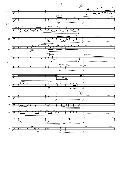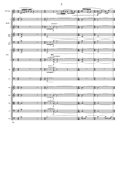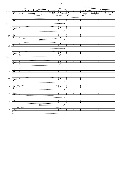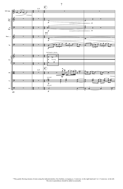

\* Play gently flowing streams of notes using the indicated pitches; free rhythms, averaging ca. 2 notes/sec. in the right hand and 1 to 1.5 notes/sec. in the left. The note in parentheses should be added occasionally.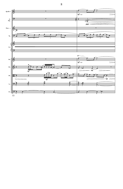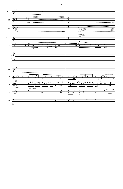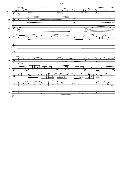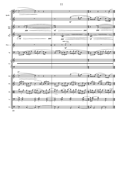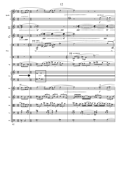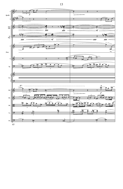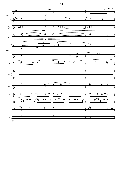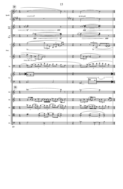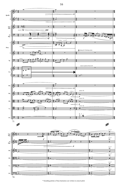



\* Sounding pitches of bass harmonics are written in concert pitch.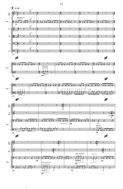

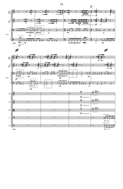

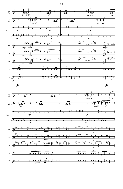



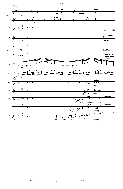

\* If afuche not available, use sandblocks, or else use voice in same manner as Pc. 1 in the next measure.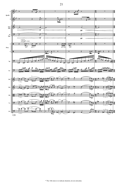

\* The 16th stem is to indicate duration; do not articulate.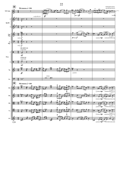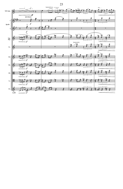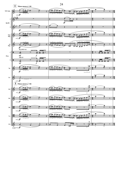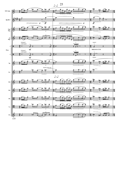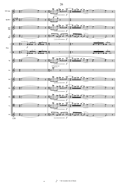

$$
\bigg| * \qquad \qquad = \text{hit wooden rim of drum}
$$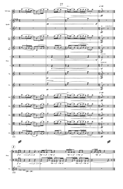

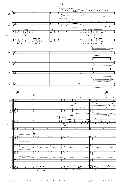

\* Slowly move bow back and forth between sul tasto and sul ponticello. Take 2-3 sec. to move from each timbre to the next, rhythmically independent of the other players.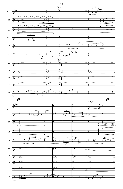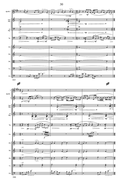



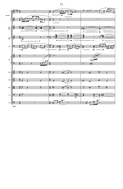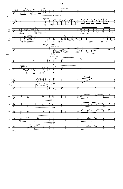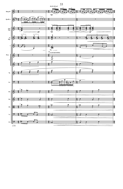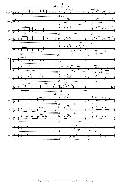



\* Repeat the given arpeggio continuously. Free rhythms, averaging about one second per arpeggio.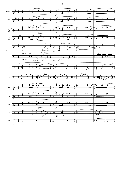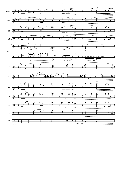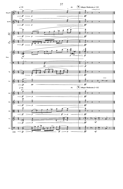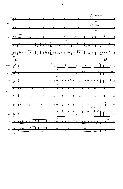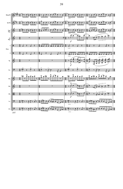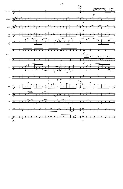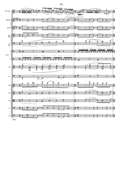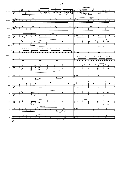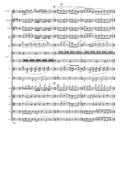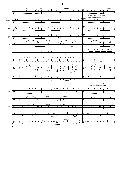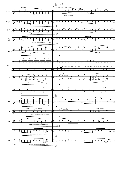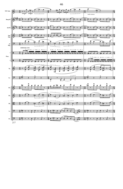**Cb.**

217



<u>.</u> 4 4  $\frac{2}{4}$ 5 4 4  $\frac{2}{4}$ 5 J #<sup>œ</sup> ‰ ‰ <sup>J</sup> œ J  $\frac{2}{7}$  $\sharp$  $\frac{1}{2}$ œ #œ œ œ œ œ œ œ œ **be.** -16  $\frac{4e}{2}$  % %  $\frac{9}{2}$ œ J  $\frac{2}{7}$  $\sharp$  $\frac{1}{2}$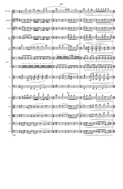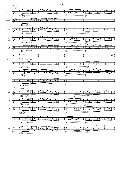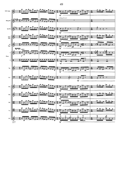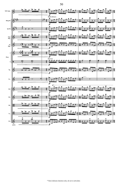

\* Stem indicates duration only; do not re-articulate.